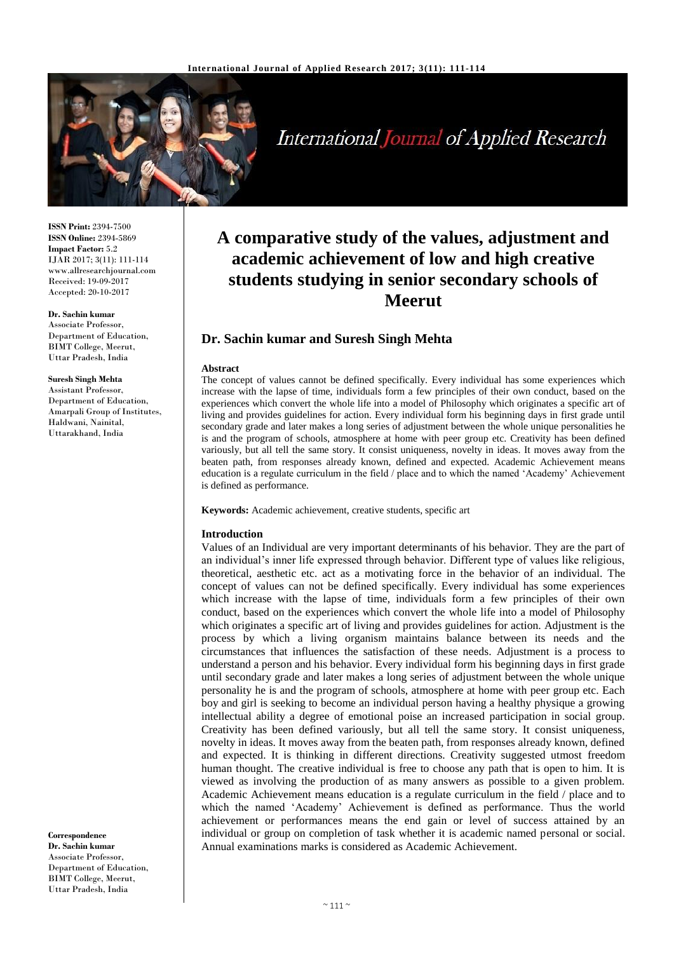

# International Journal of Applied Research

**ISSN Print:** 2394-7500 **ISSN Online:** 2394-5869 **Impact Factor:** 5.2 IJAR 2017; 3(11): 111-114 www.allresearchjournal.com Received: 19-09-2017 Accepted: 20-10-2017

#### **Dr. Sachin kumar**

Associate Professor, Department of Education, BIMT College, Meerut, Uttar Pradesh, India

## **Suresh Singh Mehta**

Assistant Professor, Department of Education, Amarpali Group of Institutes, Haldwani, Nainital, Uttarakhand, India

**Correspondence Dr. Sachin kumar** Associate Professor, Department of Education, BIMT College, Meerut, Uttar Pradesh, India

## **A comparative study of the values, adjustment and academic achievement of low and high creative students studying in senior secondary schools of Meerut**

## **Dr. Sachin kumar and Suresh Singh Mehta**

#### **Abstract**

The concept of values cannot be defined specifically. Every individual has some experiences which increase with the lapse of time, individuals form a few principles of their own conduct, based on the experiences which convert the whole life into a model of Philosophy which originates a specific art of living and provides guidelines for action. Every individual form his beginning days in first grade until secondary grade and later makes a long series of adjustment between the whole unique personalities he is and the program of schools, atmosphere at home with peer group etc. Creativity has been defined variously, but all tell the same story. It consist uniqueness, novelty in ideas. It moves away from the beaten path, from responses already known, defined and expected. Academic Achievement means education is a regulate curriculum in the field / place and to which the named 'Academy' Achievement is defined as performance.

**Keywords:** Academic achievement, creative students, specific art

#### **Introduction**

Values of an Individual are very important determinants of his behavior. They are the part of an individual's inner life expressed through behavior. Different type of values like religious, theoretical, aesthetic etc. act as a motivating force in the behavior of an individual. The concept of values can not be defined specifically. Every individual has some experiences which increase with the lapse of time, individuals form a few principles of their own conduct, based on the experiences which convert the whole life into a model of Philosophy which originates a specific art of living and provides guidelines for action. Adjustment is the process by which a living organism maintains balance between its needs and the circumstances that influences the satisfaction of these needs. Adjustment is a process to understand a person and his behavior. Every individual form his beginning days in first grade until secondary grade and later makes a long series of adjustment between the whole unique personality he is and the program of schools, atmosphere at home with peer group etc. Each boy and girl is seeking to become an individual person having a healthy physique a growing intellectual ability a degree of emotional poise an increased participation in social group. Creativity has been defined variously, but all tell the same story. It consist uniqueness, novelty in ideas. It moves away from the beaten path, from responses already known, defined and expected. It is thinking in different directions. Creativity suggested utmost freedom human thought. The creative individual is free to choose any path that is open to him. It is viewed as involving the production of as many answers as possible to a given problem. Academic Achievement means education is a regulate curriculum in the field / place and to which the named 'Academy' Achievement is defined as performance. Thus the world achievement or performances means the end gain or level of success attained by an individual or group on completion of task whether it is academic named personal or social. Annual examinations marks is considered as Academic Achievement.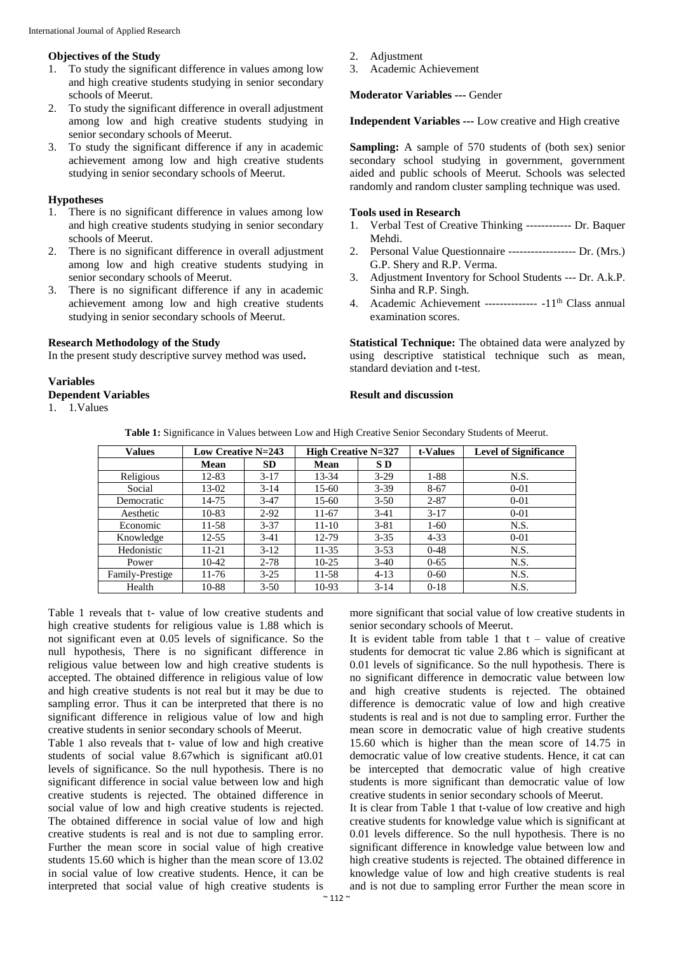## **Objectives of the Study**

- 1. To study the significant difference in values among low and high creative students studying in senior secondary schools of Meerut.
- 2. To study the significant difference in overall adjustment among low and high creative students studying in senior secondary schools of Meerut.
- 3. To study the significant difference if any in academic achievement among low and high creative students studying in senior secondary schools of Meerut.

## **Hypotheses**

- 1. There is no significant difference in values among low and high creative students studying in senior secondary schools of Meerut.
- 2. There is no significant difference in overall adjustment among low and high creative students studying in senior secondary schools of Meerut.
- 3. There is no significant difference if any in academic achievement among low and high creative students studying in senior secondary schools of Meerut.

## **Research Methodology of the Study**

In the present study descriptive survey method was used**.**

## **Variables**

- **Dependent Variables**
- 1. 1.Values
- 2. Adjustment
- 3. Academic Achievement

## **Moderator Variables ---** Gender

**Independent Variables ---** Low creative and High creative

**Sampling:** A sample of 570 students of (both sex) senior secondary school studying in government, government aided and public schools of Meerut. Schools was selected randomly and random cluster sampling technique was used.

## **Tools used in Research**

- 1. Verbal Test of Creative Thinking ------------ Dr. Baquer Mehdi.
- 2. Personal Value Questionnaire ------------------ Dr. (Mrs.) G.P. Shery and R.P. Verma.
- 3. Adjustment Inventory for School Students --- Dr. A.k.P. Sinha and R.P. Singh.
- 4. Academic Achievement -------------- -11<sup>th</sup> Class annual examination scores.

**Statistical Technique:** The obtained data were analyzed by using descriptive statistical technique such as mean, standard deviation and t-test.

## **Result and discussion**

|  | Table 1: Significance in Values between Low and High Creative Senior Secondary Students of Meerut. |  |  |  |  |  |  |
|--|----------------------------------------------------------------------------------------------------|--|--|--|--|--|--|
|  |                                                                                                    |  |  |  |  |  |  |

| <b>Values</b>   | <b>Low Creative N=243</b> |           | <b>High Creative N=327</b> |          | t-Values | <b>Level of Significance</b> |
|-----------------|---------------------------|-----------|----------------------------|----------|----------|------------------------------|
|                 | Mean                      | <b>SD</b> | Mean                       | S D      |          |                              |
| Religious       | 12-83                     | $3-17$    | 13-34                      | $3-29$   | $1 - 88$ | N.S.                         |
| Social          | 13-02                     | $3-14$    | 15-60                      | $3 - 39$ | $8 - 67$ | $0 - 01$                     |
| Democratic      | 14-75                     | $3-47$    | 15-60                      | $3 - 50$ | $2 - 87$ | $0 - 01$                     |
| Aesthetic       | $10 - 83$                 | $2 - 92$  | $11 - 67$                  | $3-41$   | $3 - 17$ | $0 - 01$                     |
| Economic        | 11-58                     | $3 - 37$  | $11 - 10$                  | $3 - 81$ | $1-60$   | N.S.                         |
| Knowledge       | $12 - 55$                 | $3-41$    | 12-79                      | $3 - 35$ | $4 - 33$ | $0 - 01$                     |
| Hedonistic      | 11-21                     | $3-12$    | $11 - 35$                  | $3 - 53$ | $0 - 48$ | N.S.                         |
| Power           | 10-42                     | $2 - 78$  | $10-25$                    | $3-40$   | $0 - 65$ | N.S.                         |
| Family-Prestige | 11-76                     | $3 - 25$  | $11 - 58$                  | $4 - 13$ | $0 - 60$ | N.S.                         |
| Health          | 10-88                     | $3 - 50$  | $10-93$                    | $3 - 14$ | $0-18$   | N.S.                         |

Table 1 reveals that t- value of low creative students and high creative students for religious value is 1.88 which is not significant even at 0.05 levels of significance. So the null hypothesis, There is no significant difference in religious value between low and high creative students is accepted. The obtained difference in religious value of low and high creative students is not real but it may be due to sampling error. Thus it can be interpreted that there is no significant difference in religious value of low and high creative students in senior secondary schools of Meerut.

Table 1 also reveals that t- value of low and high creative students of social value 8.67which is significant at0.01 levels of significance. So the null hypothesis. There is no significant difference in social value between low and high creative students is rejected. The obtained difference in social value of low and high creative students is rejected. The obtained difference in social value of low and high creative students is real and is not due to sampling error. Further the mean score in social value of high creative students 15.60 which is higher than the mean score of 13.02 in social value of low creative students. Hence, it can be interpreted that social value of high creative students is more significant that social value of low creative students in senior secondary schools of Meerut.

It is evident table from table 1 that  $t -$  value of creative students for democrat tic value 2.86 which is significant at 0.01 levels of significance. So the null hypothesis. There is no significant difference in democratic value between low and high creative students is rejected. The obtained difference is democratic value of low and high creative students is real and is not due to sampling error. Further the mean score in democratic value of high creative students 15.60 which is higher than the mean score of 14.75 in democratic value of low creative students. Hence, it cat can be intercepted that democratic value of high creative students is more significant than democratic value of low creative students in senior secondary schools of Meerut.

It is clear from Table 1 that t-value of low creative and high creative students for knowledge value which is significant at 0.01 levels difference. So the null hypothesis. There is no significant difference in knowledge value between low and high creative students is rejected. The obtained difference in knowledge value of low and high creative students is real and is not due to sampling error Further the mean score in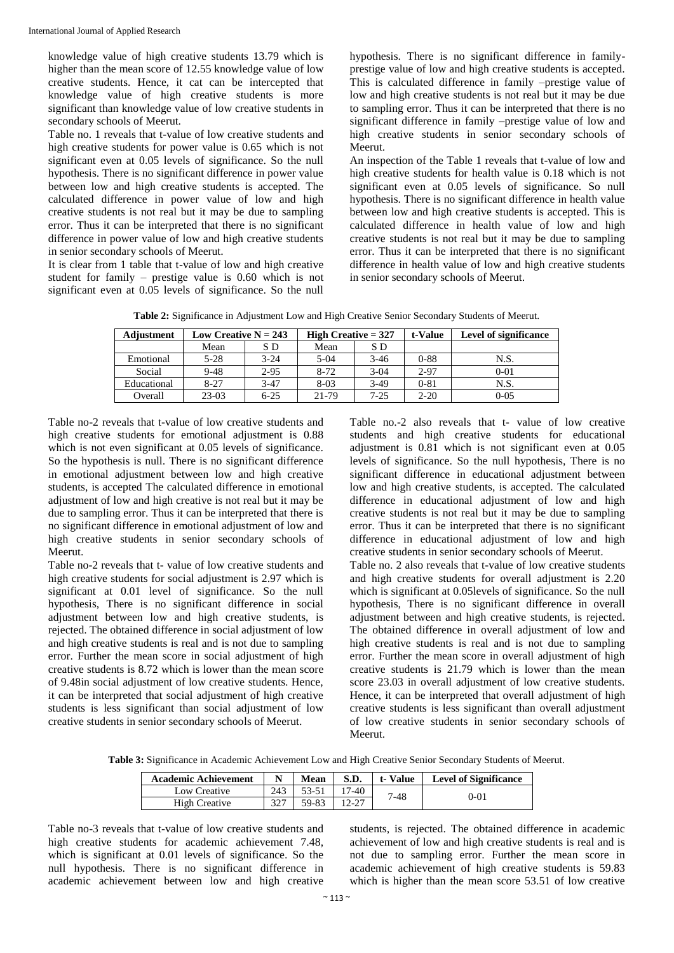knowledge value of high creative students 13.79 which is higher than the mean score of 12.55 knowledge value of low creative students. Hence, it cat can be intercepted that knowledge value of high creative students is more significant than knowledge value of low creative students in secondary schools of Meerut.

Table no. 1 reveals that t-value of low creative students and high creative students for power value is 0.65 which is not significant even at 0.05 levels of significance. So the null hypothesis. There is no significant difference in power value between low and high creative students is accepted. The calculated difference in power value of low and high creative students is not real but it may be due to sampling error. Thus it can be interpreted that there is no significant difference in power value of low and high creative students in senior secondary schools of Meerut.

It is clear from 1 table that t-value of low and high creative student for family – prestige value is 0.60 which is not significant even at 0.05 levels of significance. So the null hypothesis. There is no significant difference in familyprestige value of low and high creative students is accepted. This is calculated difference in family –prestige value of low and high creative students is not real but it may be due to sampling error. Thus it can be interpreted that there is no significant difference in family –prestige value of low and high creative students in senior secondary schools of Meerut.

An inspection of the Table 1 reveals that t-value of low and high creative students for health value is 0.18 which is not significant even at 0.05 levels of significance. So null hypothesis. There is no significant difference in health value between low and high creative students is accepted. This is calculated difference in health value of low and high creative students is not real but it may be due to sampling error. Thus it can be interpreted that there is no significant difference in health value of low and high creative students in senior secondary schools of Meerut.

| Table 2: Significance in Adjustment Low and High Creative Senior Secondary Students of Meerut. |  |  |
|------------------------------------------------------------------------------------------------|--|--|
|------------------------------------------------------------------------------------------------|--|--|

| Adjustment  | Low Creative $N = 243$ |          | High Creative $= 327$ |          | t-Value  | <b>Level of significance</b> |
|-------------|------------------------|----------|-----------------------|----------|----------|------------------------------|
|             | Mean                   | S D      | Mean                  | S D      |          |                              |
| Emotional   | $5-28$                 | $3 - 24$ | $5-04$                | $3-46$   | $0 - 88$ | N.S.                         |
| Social      | $9 - 48$               | $2 - 95$ | $8 - 72$              | $3-04$   | 2-97     | $0 - 01$                     |
| Educational | $8 - 27$               | $3-47$   | $8-03$                | $3-49$   | $0 - 81$ | N.S.                         |
| Overall     | $23-03$                | $6 - 25$ | 21-79                 | $7 - 25$ | $2 - 20$ | $0 - 0.5$                    |

Table no-2 reveals that t-value of low creative students and high creative students for emotional adjustment is 0.88 which is not even significant at 0.05 levels of significance. So the hypothesis is null. There is no significant difference in emotional adjustment between low and high creative students, is accepted The calculated difference in emotional adjustment of low and high creative is not real but it may be due to sampling error. Thus it can be interpreted that there is no significant difference in emotional adjustment of low and high creative students in senior secondary schools of Meerut.

Table no-2 reveals that t- value of low creative students and high creative students for social adjustment is 2.97 which is significant at 0.01 level of significance. So the null hypothesis, There is no significant difference in social adjustment between low and high creative students, is rejected. The obtained difference in social adjustment of low and high creative students is real and is not due to sampling error. Further the mean score in social adjustment of high creative students is 8.72 which is lower than the mean score of 9.48in social adjustment of low creative students. Hence, it can be interpreted that social adjustment of high creative students is less significant than social adjustment of low creative students in senior secondary schools of Meerut.

Table no.-2 also reveals that t- value of low creative students and high creative students for educational adjustment is 0.81 which is not significant even at 0.05 levels of significance. So the null hypothesis, There is no significant difference in educational adjustment between low and high creative students, is accepted. The calculated difference in educational adjustment of low and high creative students is not real but it may be due to sampling error. Thus it can be interpreted that there is no significant difference in educational adjustment of low and high creative students in senior secondary schools of Meerut.

Table no. 2 also reveals that t-value of low creative students and high creative students for overall adjustment is 2.20 which is significant at 0.05levels of significance. So the null hypothesis, There is no significant difference in overall adjustment between and high creative students, is rejected. The obtained difference in overall adjustment of low and high creative students is real and is not due to sampling error. Further the mean score in overall adjustment of high creative students is 21.79 which is lower than the mean score 23.03 in overall adjustment of low creative students. Hence, it can be interpreted that overall adjustment of high creative students is less significant than overall adjustment of low creative students in senior secondary schools of Meerut.

**Table 3:** Significance in Academic Achievement Low and High Creative Senior Secondary Students of Meerut.

| <b>Academic Achievement</b> |     | Mean  | S.D.    | t-Value      | <b>Level of Significance</b> |
|-----------------------------|-----|-------|---------|--------------|------------------------------|
| Low Creative                | 243 | 53-51 | $17-40$ | 7-48<br>0-01 |                              |
| High Creative               | 227 | 59-83 |         |              |                              |

Table no-3 reveals that t-value of low creative students and high creative students for academic achievement 7.48, which is significant at 0.01 levels of significance. So the null hypothesis. There is no significant difference in academic achievement between low and high creative

students, is rejected. The obtained difference in academic achievement of low and high creative students is real and is not due to sampling error. Further the mean score in academic achievement of high creative students is 59.83 which is higher than the mean score 53.51 of low creative